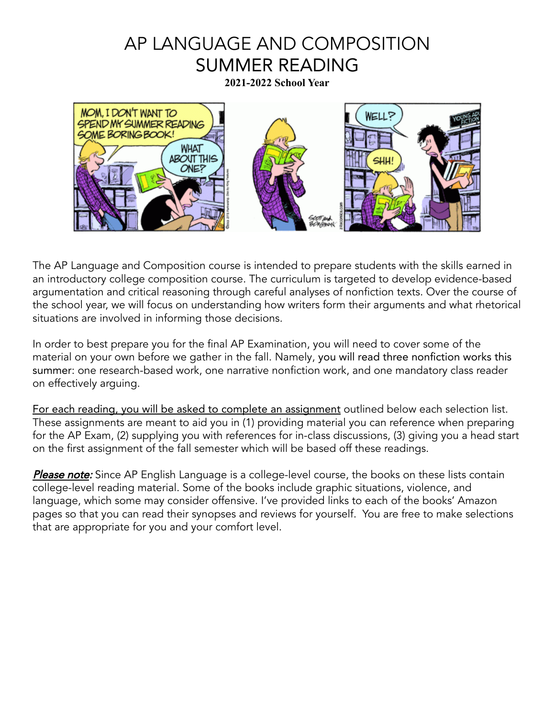# AP LANGUAGE AND COMPOSITION SUMMER READING

**2021-2022 School Year**



The AP Language and Composition course is intended to prepare students with the skills earned in an introductory college composition course. The curriculum is targeted to develop evidence-based argumentation and critical reasoning through careful analyses of nonfiction texts. Over the course of the school year, we will focus on understanding how writers form their arguments and what rhetorical situations are involved in informing those decisions.

In order to best prepare you for the final AP Examination, you will need to cover some of the material on your own before we gather in the fall. Namely, you will read three nonfiction works this summer: one research-based work, one narrative nonfiction work, and one mandatory class reader on effectively arguing.

For each reading, you will be asked to complete an assignment outlined below each selection list. These assignments are meant to aid you in (1) providing material you can reference when preparing for the AP Exam, (2) supplying you with references for in-class discussions, (3) giving you a head start on the first assignment of the fall semester which will be based off these readings.

Please note: Since AP English Language is a college-level course, the books on these lists contain college-level reading material. Some of the books include graphic situations, violence, and language, which some may consider offensive. I've provided links to each of the books' Amazon pages so that you can read their synopses and reviews for yourself. You are free to make selections that are appropriate for you and your comfort level.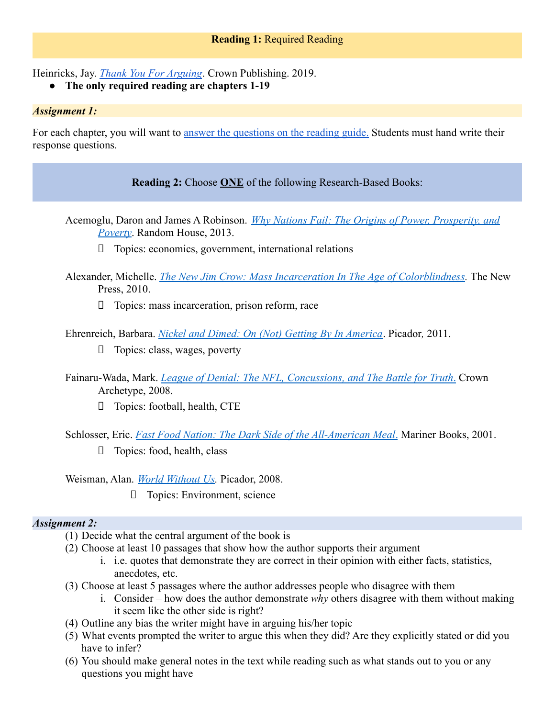Heinricks, Jay. *[Thank You For Arguing](https://www.amazon.com/Thank-You-Arguing-Third-Persuasion/dp/0804189935)*. Crown Publishing. 2019.

**● The only required reading are chapters 1-19**

#### *Assignment 1:*

For each chapter, you will want to answer the questions [on the reading guide.](https://drive.google.com/file/d/1W9lMYEgo93thrFPbwLmjPCaUBRYweBWG/view?usp=sharing) Students must hand write their response questions.

## **Reading 2:** Choose **ONE** of the following Research-Based Books:

- Acemoglu, Daron and James A Robinson. *Why Nations [Fail: The Origins of Power, Prosperity, and](https://www.amazon.com/Why-Nations-Fail-Origins-Prosperity/dp/0307719227/ref=tmm_pap_swatch_0?_encoding=UTF8&qid=1588695100&sr=1-27) [Poverty](https://www.amazon.com/Why-Nations-Fail-Origins-Prosperity/dp/0307719227/ref=tmm_pap_swatch_0?_encoding=UTF8&qid=1588695100&sr=1-27)*. Random House, 2013.
	- ⮚ Topics: economics, government, international relations
- Alexander, Michelle. *[The New Jim Crow: Mass Incarceration](https://www.amazon.com/New-Jim-Crow-Incarceration-Colorblindness/dp/1620971933?ref_=s9_apbd_ps_hd_bw_b652QiB&pf_rd_r=FGEWG9D1RC4QETBESSCM&pf_rd_p=18be114f-55ea-5f03-837c-030f554661c1&pf_rd_s=merchandised-search-10&pf_rd_t=BROWSE&pf_rd_i=5571258011) In The Age of Colorblindness.* The New Press, 2010.
	- □ Topics: mass incarceration, prison reform, race
- Ehrenreich, Barbara. *[Nickel and Dimed: On \(Not\) Getting](https://www.amazon.com/Nickel-Dimed-Not-Getting-America/dp/0312626681) By In America*. Picador*,* 2011.
	- $\Box$  Topics: class, wages, poverty
- Fainaru-Wada, Mark. *[League of Denial: The NFL, Concussions,](https://www.amazon.com/League-Denial-Concussions-Battle-Truth/dp/0770437540) and The Battle for Truth*. Crown Archetype, 2008.
	- ⮚ Topics: football, health, CTE
- Schlosser, Eric. *[Fast Food Nation: The Dark Side of](https://www.amazon.com/Fast-Food-Nation-Dark-All-American/dp/0547750331) the All-American Meal*. Mariner Books, 2001.
	- ⮚ Topics: food, health, class

Weisman, Alan. *[World Without Us](https://www.amazon.com/World-Without-Us-Alan-Weisman/dp/0312427905).* Picador, 2008.

⮚ Topics: Environment, science

## *Assignment 2:*

- (1) Decide what the central argument of the book is
- (2) Choose at least 10 passages that show how the author supports their argument
	- i. i.e. quotes that demonstrate they are correct in their opinion with either facts, statistics, anecdotes, etc.
- (3) Choose at least 5 passages where the author addresses people who disagree with them
	- i. Consider how does the author demonstrate *why* others disagree with them without making it seem like the other side is right?
- (4) Outline any bias the writer might have in arguing his/her topic
- (5) What events prompted the writer to argue this when they did? Are they explicitly stated or did you have to infer?
- (6) You should make general notes in the text while reading such as what stands out to you or any questions you might have